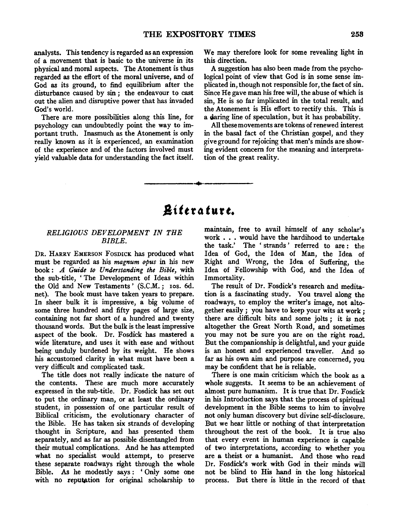analysts. This tendency is regarded as an expression of a movement that is basic to the universe in its physical and moral aspects. The Atonement is thus regarded as the effort of the moral universe, and of God as its ground, to find equilibrium after the disturbance caused by sin; the endeavour to cast out the alien and disruptive power that has invaded God's world.

There are more possibilities along this line, for psychology can undoubtedly point the way to important truth. Inasmuch as the Atonement is only really known as it is experienced, an examination of the experience and of the factors involved must yield valuable data for understanding the fact itself.

We may therefore look for some revealing light in this direction.

A suggestion has also been made from the psychological point of view that God is in some sense implicated in, though not responsible for, the fact of sin. Since He gave man his free will, the abuse of which is sin, He is so far implicated in the total result, and the Atonement is His effort to rectify this. This is a daring line of speculation, but it has probability.

All these movements are tokens of renewed interest in the basal fact of the Christian gospel, and they give ground for rejoicing that men's minds are showing evident concern for the meaning and interpretation of the great reality.

# *.Sittr4* **turt.**

-----··-----

### *RELIGIOUS DEVELOPMENT IN THE BIBLE.*

DR. HARRY EMERSON FOSDICK has produced what must be regarded as his *magnum opus* in his new book: *A Guide to Understanding the Bible,* with the sub-title, ' The Development of Ideas within the Old and New Testaments' (S.C.M.; Ios. 6d. net). The book must have taken years to prepare. In sheer bulk it is impressive, a big volume of some three hundred and fifty pages of large size, containing not far short of a hundred and twenty thousand words. But the bulk is the least impressive aspect of the book. Dr. Fosdick has mastered a wide literature, and uses it with ease and without being unduly burdened by its weight. He shows his accustomed clarity in what must have been a very difficult and complicated task.

The title does not really indicate the nature of the contents. These are much more accurately expressed in the sub-title. Dr. Fosdick has set out to put the ordinary man, or at least the ordinary student, in possession of one particular result of Biblical criticism, the evolutionary character of the Bible. He has taken six strands of developing thought in Scripture, and has presented them separately, and as far as possible disentangled from their mutual complications. And he has attempted what no specialist would attempt, to preserve these separate roadways right through the whole Bible. As he modestly says : ' Only some one with no reputation for original scholarship to

maintain, free to avail himself of any scholar's work . . . would have the hardihood to undertake the task.' The ' strands ' referred to are : the Idea of God, the Idea of Man, the Idea of Right and Wrong, the Idea of Suffering, the Idea of Fellowship with God, and the Idea of Immortality.

The result of Dr. Fosdick's research and meditation is a fascinating study. You travel along the roadways, to employ the writer's image, not altogether easily; you have to keep your wits at work; there are difficult bits and some jolts ; it is not altogether the Great North Road, and sometimes you may not be sure you are on the right road. But the companionship is delightful, and your guide is an honest and experienced traveller. And so far as his own aim and purpose are concerned, you may be confident that he is reliable.

There is one main criticism which the book as a whole suggests. It seems to be an achievement of almost pure humanism. It is true that Dr. Fosdick in his Introduction says that the process of spiritual development in the Bible seems to him to involve not only human discovery but divine self-disclosure. But we hear little or nothing of that interpretation throughout the rest of the book. It is true also that every event in human experience is capable of two interpretations, according to whether you are a theist or a humanist. And those who read Dr. Fosdick's work with God in their minds will not be blind to His hand in the long historical process. But there is little in the record of that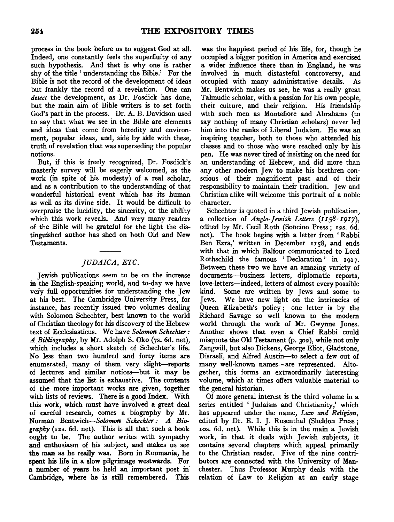process in the book before us to suggest God at all. Indeed, one constantly feels the superfluity of any such hypothesis. And that is why one is rather shy of the title 'understanding the Bible.' For the Bible is not the record of the development of ideas but frankly the record of a revelation. One can *detect* the development, as Dr. Fosdick has done, but the main aim of Bible writers is to set forth God's part in the process. Dr. A. B. Davidson used to say that what we see in the Bible are elements and ideas that come from heredity and environment, popular ideas, and, side by side with these, truth of revelation that was superseding the popular notions.

But, if this is freely recognized, Dr. Fosdick's masterly survey will be eagerly welcomed, as the work (in spite of his modesty) of a real scholar, and as a contribution to the understanding of that wonderful historical event which has its human as well as its divine side. It would be difficult to overpraise the lucidity, the sincerity, or the ability which this work reveals. And very many readers of the Bible will be grateful for the light the distinguished author has shed on both Old and New Testaments.

## *JUDAICA, ETC.*

Jewish publications seem to be on the increase in the English-speaking world, and to-day we have very full opportunities for understanding the Jew at his best. The Cambridge University Press, for instance, has recently issued two volumes dealing with Solomon Schechter, best known to the world of Christian theology for his discovery of the Hebrew text of Ecclesiasticus. We have *Solomon Schechter:*  A *Bibliography,* by Mr. Adolph S. Oko (7s. 6d. net), which includes a short sketch of Schechter's life. No less than two hundred and forty items are enumerated, many of them very slight-reports of lectures and similar notices-but it may be assumed that the list is exhaustive. The contents of the more important works are given, together with lists of reviews. There is a good Index. With this work, which must have involved a great deal of careful research, comes a biography by Mr. Norman Bentwich-Solomon *Scheckter: A Bio*graphy (12s. 6d. net). This is all that such a book ought to be. The author writes with sympathy and enthusiasm of his subject, and makes us see the man as he really was. Born in Roumania, he spent his life in a slow pilgrimage westwards. For a number of years he held an important post in' Cambridge, where he is still remembered. This

was the happiest period of his life, for, though he occupied a bigger position in America and exercised a wider influence there than in England, he was involved in much distasteful controversy, and occupied with many administrative details. As Mr. Bentwich makes us see, he was a really great Talmudic scholar, with a passion for his own people, their culture, and their religion. His friendship with such men as Montefiore and Abrahams (to say nothing of many Christian scholars) never led him into the ranks of Liberal Judaism. He was an inspiring teacher, both to those who attended his classes and to those who were reached only by his pen. He was never tired of insisting on the need for an understanding of Hebrew, and did more than any other modern Jew to make his brethren conscious of their magnificent past and of their responsibility to maintain their tradition. Jew and Christian alike will welcome this portrait of a noble character.

Schechter is quoted in a third Jewish publication, a collection of *Anglo-Jewish Letters (rrs8-I9I7),*  edited by Mr. Cecil Roth (Soncino Press; 12s. 6d. net). The book begins with a letter from 'Rabbi Ben Ezra,' written in December 1158, and ends with that in which Balfour communicated to Lord Rothschild the famous 'Declaration' in 1917. Between these two we have an amazing variety of documents-business letters, diplomatic reports, love-letters-indeed, letters of almost every possible kind. Some are written by Jews and some to Jews. We have new light on the intricacies of Queen Elizabeth's policy; one letter is by the Richard Savage so well known to the modern world through the work of Mr. Gwynne Jones. Another shows that even a Chief Rabbi could misquote the Old Testament (p. 302 ), while not only Zangwill, but also Dickens, George Eliot, Gladstone, Disraeli, and Alfred Austin-to select a few out of many well-known names-are represented. Altogether, this forms an extraordinarily interesting volume, which at times offers valuable material to the general historian.

Of more general interest is the third volume in a series entitled 'Judaism and Christianity,' which has appeared under the name, *Law and Religion,*  edited by Dr. E. I. J. Rosenthal (Sheldon Press; 1os. 6d. net). While this is in the main a Jewish work, in that it deals with Jewish subjects, it contains several chapters which appeal primarily to the Christian reader. Five of the nine contributors are connected with the University of Manchester. Thus Professor Murphy deals with the relation of Law to Religion at an early stage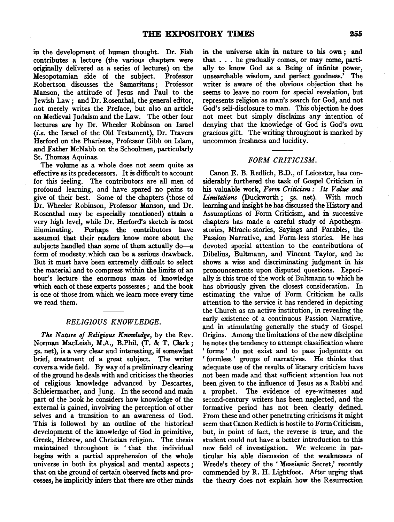in the development of human thought. Dr. Fish contributes a lecture (the various chapters were originally delivered as a series of lectures) on the Mesopotamian side of the subject. Professor Robertson discusses the Samaritans ; Professor Manson, the attitude of Jesus and Paul to the Jewish Law; and Dr. Rosenthal, the general editor, not merely writes the Preface, but also an article on Medieval Judaism and the Law. The other four lectures are by Dr. Wheeler Robinson on Israel *(i.e.* the Israel of the Old Testament), Dr. Travers Herford on the Pharisees, Professor Gibb on Islam, and Father McNabb on the Schoolmen, particularly St. Thomas Aquinas.

The volume as a whole does not seem quite as effective as its predecessors. It is difficult to account for this feeling. The contributors are all men of profound learning, and have spared no pains to give of their best. Some of the chapters (those of Dr. Wheeler Robinson, Professor Manson, and Dr. Rosenthal may be especially mentioned) attain a very high level, while Dr. Herford's sketch is most illuminating. Perhaps the contributors have assumed that their readers know more about the subjects handled than some of them actually do-a form of modesty which can be a serious drawback. But it must have been extremely difficult to select the material and to compress within the limits of an hour's lecture the enormous mass of knowledge which each of these experts possesses ; and the book is one of those from which we learn more every time we read them.

#### *RELIGIOUS KNOWLEDGE.*

*The Nature of Religious Knowledge,* by the Rev. Norman MacLeish, M.A., B.Phil. (T. & T. Clark; *ss.* net), is a very clear and interesting, if somewhat brief, treatment of a great subject. The writer covers a wide field. By way of a preliminary clearing of the ground he deals with and criticises the theories of religious knowledge advanced by Descartes, Schleiermacher, and Jung. In the second and main part of the book he considers how knowledge of the external is gained, involving the perception of other selves and a transition to an awareness of God. This is followed by an outline of the historical development of the knowledge of God in primitive, Greek, Hebrew, and Christian religion. The thesis maintained throughout is ' that the . individual begins with a partial apprehension of the whole universe in both its physical and mental aspects *;*  that on the ground of certain observed facts and processes, he implicitly infers that there are other minds

in the universe akin in nature to his own *;* and that . . . he gradually comes, or may come, partially to know God as a Being of infinite power, unsearchable wisdom, and perfect goodness.' The writer is aware of the obvious objection that he seems to leave no room for special revelation, but represents religion as man's search for God, and not God's self-disclosure to man. This objection he does not meet but simply disclaims any intention of denying that the knowledge of God is God's own gracious gift. The writing throughout is marked by uncommon freshness and lucidity.

#### *FORM CRITICISM.*

Canon E. B. Redlich, B.D., of Leicester, has considerably furthered the task of Gospel Criticism in his valuable work, *Form Criticism: Its Value and*  Limitations (Duckworth; 5s. net). With much learning and insight he has discussed the History and Assumptions of Form Criticism, and in successive chapters has made a careful study of Apothegmstories, Miracle-stories, Sayings and Parables, the Passion Narrative, and Form-less stories. He has devoted special attention to the contributions of Dibelius, Bultmann, and Vincent Taylor, and he shows a wise and discriminating judgment in his pronouncements upon disputed questions. Especially is this true of the work of Bultmann to which he has obviously given the closest consideration. In estimating the value of Form Criticism he calls attention to the service it has rendered in depicting the Church as an active institution, in revealing the early existence of a continuous Passion Narrative, and in stimulating generally the study of Gospel Origins. Among the limitations of the new discipline he notes the tendency to attempt classification where ' forms ' do not exist and to pass judgments on ' formless ' groups of narratives. He thinks that adequate use of the results of literary criticism have not been made and that sufficient attention has not been given to the influence of Jesus as a Rabbi and a prophet. The evidence of eye-witnesses and second-century writers has been neglected, and the formative period has not been clearly defined. From these and other penetrating criticisms it might seem that Canon Redlich is hostile to Form Criticism, but, in point of fact, the reverse is true, and the student could not have a better introduction to this new field of investigation. We welcome in particular his able discussion of the weaknesses of Wrede's theory of the 'Messianic Secret,' recently commended by R. H. Lightfoot. After urging that the theory does not explain how the Resurrection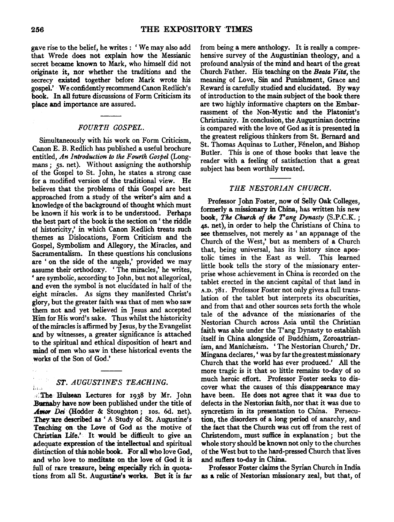gave rise to the belief, he writes: 'We may also add that Wrede does not explain how the Messianic secret became known to Mark, who himself did not originate it, nor whether the traditions and the secrecy existed together before Mark wrote his gospel.' We confidently recommend Canon Redlich's book. In all future discussions of Form Criticism its place and importance are assured.

#### *FOURTH GOSPEL.*

Simultaneously with his work on Form Criticism, Canon E. B. Redlich has published a useful brochure entitled, *An Introduction to the Fourth Gospel* (Longmans; *ss.* net). Without assigning the authorship of the Gospel to St. John, he states a strong case for a modified version of the traditional view. He believes that the problems of this Gospel are best approached from a study of the writer's aim and a knowledge of the background of thought which must be known if his work is to be understood. Perhaps the best part of the book is the section on ' the riddle of historicity,' in which Canon Redlich treats such themes as Dislocations, Form Criticism and the Gospel, Symbolism and Allegory, the Miracles, and Sacramentalism. In these questions his conclusions are ' on the side of the angels,' provided we may assume their orthodoxy. 'The miracles,' he writes, ' are symbolic, according to John, but not allegorical, and even the symbol is not elucidated in half of the eight miracles. As signs they manifested Christ's glory, but the greater faith was that of men who saw them not and yet believed in Jesus and accepted Him for His word's sake. Thus whilst the historicity of the miracles is affirmed by Jesus, by the Evangelist and by witnesses, a greater significance is attached to the spiritual and ethical disposition of heart and mind of men who saw in these historical events the works of the Son of God.'

# **ST. AUGUSTINE'S TEACHING.**

,;:The Hulsean Lectures for 1938 by Mr. John *Bumaby* have now been published under the title of Amor Dei (Hodder & Stoughton; 10s. 6d. net). They are described as 'A Study of St. Augustine's Teaching on the Love of God as the motive of Christian Life.' It would be difficult to give an adequate expression of the intellectual and spiritual distinction of this noble book. For all who love God, and who love to meditate on the love of God it is full of rare treasure, being especially rich in quotations from all St. Augustine's works. But it is far from being a mere anthology. It is really a comprehensive survey of the Augustinian theology, and a profound analysis of the mind and heart of the great Church Father. His teaching on the *Beata Vitd,* the meaning of Love, Sin and Punishment, Grace and Reward is carefully studied and elucidated. By way of introduction to the main subject of the book there are two highly informative chapters on the Embarrassment of the Non-Mystic and the Platonist's Christianity. In conclusion, the Augustinian doctrine is compared with the love of God as it is presented in the greatest religious thinkers from St. Bemard and St. Thomas Aquinas to Luther, Fénelon, and Bishop Butler. This is one of those books that leave the reader with a feeling of satisfaction that a great subject has been worthily treated.

#### *THE NESTORIAN CHURCH.*

Professor John Foster, now of Selly Oak Colleges, formerly a missionary in China, has written his new book, *The Church of the Tang Dynasty (S.P.C.K.*; 48• net), in order to help the Christians of China to see themselves, not merely as ' an appanage of the Church of the West,' but as members of a Church that, being universal, has its history since apostolic times in the East as well. This learned little book tells the story of the missionary enterprise whose achievement in China is recorded on the tablet erected in the ancient capital of that land in A.D. 781. Professor Foster not only gives a full translation of the tablet but interprets its obscurities, and from that and other sources sets forth the whole tale of the advance of the missionaries of the Nestorian Church across Asia until the Christian faith was able under the T'ang Dynasty to establish itself in China alongside of Buddhism, Zoroastrianism, and Manichæism. 'The Nestorian Church,' Dr. Mingana declares, ' was by far the greatest missionary Church that the world has ever produced.' All the more tragic is it that so little remains to-day of so much heroic effort. Professor Foster seeks to discover what the causes of this disappearance may have been. He does not agree that it was due to defects in the Nestorian faith, nor that it was due to syncretism in its presentation to China. Persecution, the disorders of a long period of anarchy, and the fact that the Church was cut off from the rest of Christendom, must suffice in explanation *;* but the whole story should be known not only to the churches of the West but to the hard-pressed Church that lives and suffers to-day in China.

Professor Foster claims the Syrian Church in India as a relic of Nestorian missionary zeal, but that, of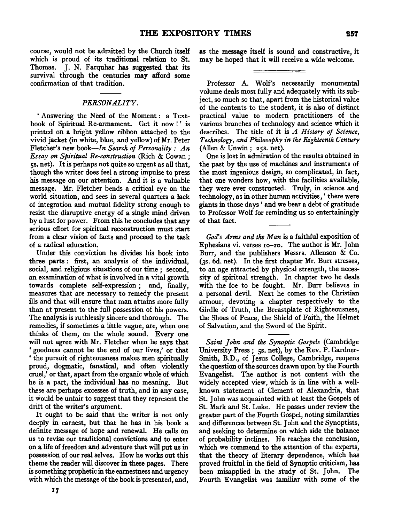course, would not be admitted by the Church itself which is proud of its traditional relation to St. Thomas. J. N. Farquhar has suggested that its survival through the centuries may afford some confirmation of that tradition.

#### *PERSONALITY.*

' Answering the Need of the Moment : a Textbook of Spiritual Re-armament. Get it now !' is printed on a bright yellow ribbon attached to the vivid jacket (in white, blue, and yellow) of Mr. Peter Fletcher's new *book-In Search of Personality : An Essay on Spiritual Re-construction* (Rich & Cowan ; ss. net). It is perhaps not quite so urgent as all that, though the writer does feel a strong impulse to press his message on our attention. And it is a valuable message. Mr. Fletcher bends a critical eye on the world situation, and sees in several quarters a lack of integration and mutual fidelity strong enough to resist the disruptive energy of a single mind driven by a lust for power. From this he concludes that any serious effort for spiritual reconstruction must start from a clear vision of facts and proceed to the task of a radical education.

Under this conviction he divides his book into three parts : first, an analysis of the individual, social, and religious situations of our time; second, an examination of what is involved in a vital growth towards complete self-expression; and, finally, measures that are necessary to remedy the present ills and that will ensure that man attains more fully than at present to the full possession of his powers. The analysis is ruthlessly sincere and thorough. The remedies, if sometimes a little vague, are, when one thinks of them, on the whole sound. Every one will not agree with Mr. Fletcher when he says that ' goodness cannot be the end of our lives,' or that ' the pursuit of righteousness makes men spiritually proud, dogmatic, fanatical, and often violently cruel,' or that, apart from the organic whole of which he is a part, the individual has no meaning. But these are perhaps excesses of truth, and in any case, it would be unfair to suggest that they represent the drift of the writer's argument.

It ought to be said that the writer is not only deeply in earnest, but that he has in his book a definite message of hope and renewal. He calls on us to revise our traditional convictions and to enter on a life of freedom and adventure that will put us in possession of our real selves. How he works out this theme the reader will discover in these pages. There is something prophetic in the earnestness and urgency with which the message of the book is presented, and,

as the message itself is sound and constructive, it may be hoped that it will receive a wide welcome.

Professor A. Wolf's necessarily monumental volume deals most fully and adequately with its subject, so much so that, apart from the historical value of the contents to the student, it is alio of distinct practical value to modem practitioners of the various branches of technology and science which it describes. The title of it is *A History of Science, Technology, and Philosophy in the Eighteenth Century*  (Alien & Unwin; 25s. net).

One is lost in admiration of the results obtained in the past by the use of machines and instruments of the most ingenious design, so complicated, in fact, that one wonders how, with the facilities available, they were ever constructed. Truly, in science and technology, as in other human activities, ' there were giants in those days ' and we bear a debt of gratitude to Professor Wolf for reminding us so entertainingly of that fact.

*God's Arms and the M an* is a faithful exposition of Ephesians vi. verses 10-20. The author is Mr. John Burr, and the publishers Messrs. Allenson & Co. (3s. 6d. net). In the first chapter Mr. Burr stresses, to an age attracted by physical strength, the necessity of spiritual strength. In chapter two he deals with the foe to be fought. Mr. Burr believes in a personal devil. Next he comes to the Christian armour, devoting a chapter respectively to the Girdle of Truth, the Breastplate of Righteousness, the Shoes of Peace, the Shield of Faith, the Helmet of Salvation, and the Sword of the Spirit.

*Saint John and the Synoptic Gospels* (Cambridge University Press; 5s. net), by the Rev. P. Gardner-Smith, B.D., of Jesus College, Cambridge, reopens the question of the sources drawn upon by the Fourth Evangelist. The author is not content with the widely accepted view, which is in line with a wellknown statement of Clement of Alexandria, that St. John was acquainted with at least the Gospels of St. Mark and St. Luke. He passes under review the greater part of the Fourth Gospel, noting similarities and differences between St. John and the Synoptists, and seeking to determine on which side the balance of probability inclines. He reaches the conclusion, which we commend to the attention of the experts, that the theory of literary dependence, which has proved fruitful in the field of Synoptic criticism, has been misapplied in the study of St. John. The Fourth Evangelist was familiar with some of the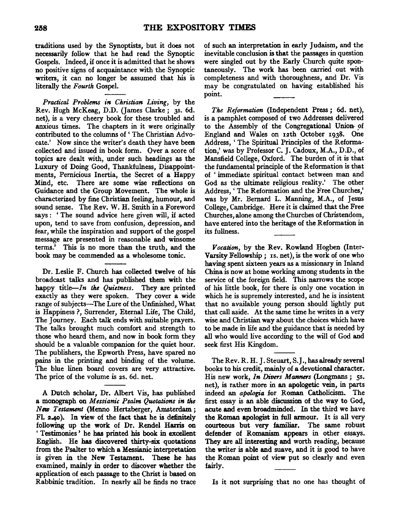traditions used by the Synoptists, but it does not necessarily follow that he had read the Synoptic Gospels. Indeed, if once it is admitted that he shows no positive signs of acquaintance with the Synoptic writers, it can no longer be assumed that his is literally the *Fourth* Gospel.

*Practical Problems in Christian Living,* by the Rev. Hugh McKeag, D.D. (James Clarke; 3s. 6d.) net), is a very cheery book for these troubled and anxious times. The chapters in it were originally contributed to the columns of ' The Christian Advocate.' Now since the writer's death they have been collected and issued in book form. Over a score of topics are dealt with, under such headings as the Luxury of Doing Good, Thankfulness, Disappointments, Pernicious Inertia, the Secret of a Happy Mind, etc. There are some wise reflections on Guidance and the Group Movement. The whole is characterized by fine Christian feeling, humour, and sound sense. The Rev. W. H. Smith in a Foreword says : ' The sound advice here given will, if acted upon, tend to save from confusion, depression, and fear, while the inspiration and support of the gospel message are presented in reasonable and winsome terms.' This is no more than the truth, and the book may be commended as a wholesome tonic.

Dr. Leslie F. Church has collected twelve of his broadcast talks and has published them with the happy title—*In the Quietness*. They are printed exactly as they were spoken. They cover a wide range of subjects-The Lure of the Unfinished, What is Happiness?, Surrender, Eternal Life, The Child, The Journey. Each talk ends with suitable prayers. The talks brought much comfort and strength to those who heard them, and now in book form they should be a valuable companion for the quiet hour. The publishers, the Epworth Press, have spared no pains in the printing and binding of the volume. The blue linen board covers are very attractive. The price of the volume is 2s. 6d. net.

A Dutch scholar, Dr. Albert Vis, has published a monograph on *Messianic Psalm Quotations in the*  New Testament (Menno Hertzberger, Amsterdam; Fl. 2-40 ). In view of the fact that he is definitely following up the work of Dr. Rendel Harris on ' Testimonies ' he has printed his book in excellent English. He has discovered thirty-six quotations from the Psalter to which a Messianic interpretation is given in the New Testament. These he has examined, mainly in order to discover whether the application of each passage to the Christ is based on Rabbinic tradition. In nearly all he finds no trace of such an interpretation in early Judaism, and the inevitable conclusion is that the passages in question were singled out by the Early Church quite spontaneously. The work has been carried out with completeness and with thoroughness, and Dr. Vis may be congratulated on having established his point.

*The Riformation* (Independent Press; 6d. net), is a pamphlet composed of two Addresses delivered to the Assembly of the Congregational Union of England and Wales on 12th October 1938. One Address, ' The Spiritual Principles of the Reformation,' was by Professor C. J. Cadoux, M.A., D.D., of Mansfield College, Oxford. The burden of it is that the fundamental principle of the Reformation is that of ' immediate spiritual contact between man and God as the ultimate religious reality.' The other Address, ' The Reformation and the Free Churches,' was by Mr. Bernard L. Manning, M.A., of Jesus College, Cambridge. Here it is claimed that the Free Churches, alone among the Churches of Christendom, have entered into the heritage of the Reformation in its fullness.

*Vocation,* by the Rev. Row land Hogben (Inter-Varsity Fellowship; IS. net), is the work of one who having spent sixteen years as a missionary in Inland China is now at home working among students in the service of the foreign field. This narrows the scope of his little book, for there is only one vocation in which he is supremely interested, and he is insistent that no available young person should lightly put that call aside. At the same time he writes in a very wise and Christian way about the choices which have to be made in life and the guidance that is needed by all who would live according to the will of God and seek first His Kingdom.

The Rev. R. H. J. Steuart, S.J., has already several books to his credit, mainly of a devotional character. His new work, *In Divers Manners* (Longmans; 5s. net), is rather more in an apologetic vein, in parts indeed an *apologia* for Roman Catholicism. The first essay is an able discussion of the way to God, acute and even broadminded. In the third we have the Roman apologist in full armour. It is all very courteous but very familiar. The same robust defender of Romanism appears in other essays. They are all interesting and worth reading, because the writer is able and suave, and it is good to have the Roman point of view put so clearly and even fairly.

Is it not surprising that no one has thought of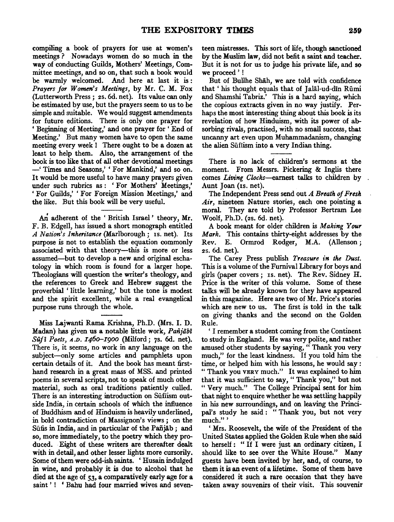compiling a book of prayers for use at women's meetings? Nowadays women do so much in the way of conducting Guilds, Mothers' Meetings, Committee meetings, and so on, that such a book would be warmly welcomed. And here at last it is : *Prayers for Women's Meetings,* by Mr. C. M. Fox (Lutterworth Press; 2s. 6d. net). Its value can only be estimated by use, but the prayers seem to us to be simple and suitable. We would suggest amendments for future editions. There is only one prayer for ' Beginning of Meeting,' and one prayer for ' End of Meeting.' But many women have to open the same meeting every week ! There ought to be a dozen at least to help them. Also, the arrangement of the book is too like that of all other devotional meetings -' Times and Seasons,' ' For Mankind,' and so on. It would be more useful to have many prayers given under such rubrics as : ' For Mothers' Meetings,' 'For Guilds,' 'For Foreign Mission Meetings,' and the like. But this book will be very useful.

An adherent of the 'British Israel' theory, Mr. F. B. Edgell, has issued a short monograph entitled A *Nation's Inheritance* (Marlborough; IS. net). Its purpose is not to establish the equation commonly associated with that theory----this is more or less assumed-but to develop a new and original eschatology in which room is found for a larger hope. Theologians will question the writer's theology, and the references to Greek and Hebrew suggest the proverbial ' little learning,' but the tone is modest and the spirit excellent, while a real evangelical purpose runs through the whole.

Miss Lajwanti Rama Krishna, Ph.D. (Mrs. I. D. Madan) has given us a notable little work, *Paiijiibi Sufi Poets,* A.D. *I46o-I900* (Milford; 7s. 6d. net). There is, it seems, no work in any language on the subject-only some articles and pamphlets upon certain details of it. And the book has meant firsthand research in a great mass of MSS. and printed poems in several scripts, not to speak of much other material, such as oral traditions patiently culled. There is an interesting introduction on Süfiism outside India, in certain schools of which the influence of Buddhism and of Hinduism is heavily underlined, in bold contradiction of Massignon's views; on the Süfis in India, and in particular of the Pañjāb; and so, more immediately, to the poetry which they produced. Eight of these writers are thereafter dealt with in detail, and other lesser lights more cursorily. Some of them were odd-ish saints. ' Husain indulged in wine, and probably it is due to alcohol that he died at the age of 53, a comparatively early age for a saint'! 'Bahu had four married wives and seventeen mistresses. This sort of life, though sanctioned by the Muslim law, did not befit a saint and teacher. But it is not for us to judge his private life, and so we proceed ' !

But of Bullhe Shah, we are told with confidence that ' his thought equals that of Jalal-ud-din Rumi and Shamshi Tabriz.' This is a hard saying, which the copious extracts given in no way justify. Perhaps the most interesting thing about this book is its revelation of how Hinduism, with its power of absorbing rivals, practised, with no small success, that uncanny art even upon Muhammadanism, changing the alien Sūfiism into a very Indian thing.

There is no lack of children's sermons at the moment. From Messrs. Pickering & Inglis there comes *Living Clocks-earnest* talks to children by Aunt Joan (Is. net).

The Independent Press send out *A Breath of Fresh Air,* nineteen Nature stories, each one pointing a moral. They are told by Professor Bertram Lee Wool£, Ph.D. (2s. 6d. net).

A book meant for older children is *Making Your Mark.* This contains thirty-eight addresses by the Rev. E. Ormrod Rodger, M.A. (Allenson; 2s. 6d. net).

The Carey Press publish *Treasure in the Dust.*  This is a volume of the Furnival Library for boys and girls (paper covers; IS. net). The Rev. Sidney H. Price is the writer of this volume. Some of these talks will be already known for they have appeared in this magazine. Here are two of Mr. Price's stories which are new to us. The first is told in the talk on giving thanks and the second on the Golden Rule.

' I remember a student coming from the Continent to study in England. He was very polite, and rather amused other students by saying, "Thank you very much," for the least kindness. If you told him the time, or helped him with his lessons, he would say : " Thank you VERY much." It was explained to him that it was sufficient to say, "Thank you," but not " Very much." The College Principal sent for him that night to enquire whether be was settling happily in his new surroundings, and on leaving the Principal's study he said: "Thank you, but not very much."'

' Mrs. Roosevelt, the wife of the President of the United States applied the Golden Rule when she said to herself : " If I were just an ordinary citizen, I should like to see over the White House." Many guests have been invited by her, and, o£ course, to them it is an event of a lifetime. Some of them have considered it such a rare occasion that they have taken away souvenirs of their visit. This souvenir